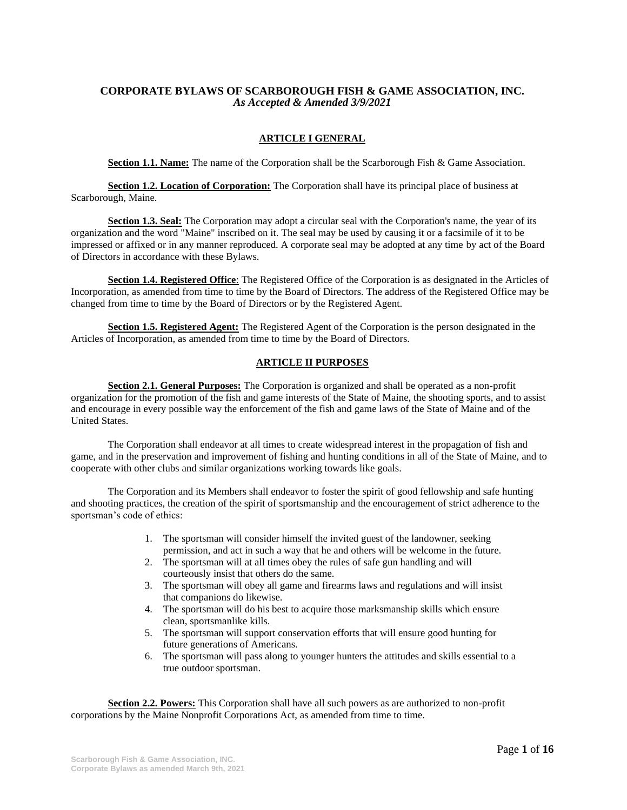# **CORPORATE BYLAWS OF SCARBOROUGH FISH & GAME ASSOCIATION, INC.**  *As Accepted & Amended 3/9/2021*

### **ARTICLE I GENERAL**

**Section 1.1. Name:** The name of the Corporation shall be the Scarborough Fish & Game Association.

**Section 1.2. Location of Corporation:** The Corporation shall have its principal place of business at Scarborough, Maine.

**Section 1.3. Seal:** The Corporation may adopt a circular seal with the Corporation's name, the year of its organization and the word "Maine" inscribed on it. The seal may be used by causing it or a facsimile of it to be impressed or affixed or in any manner reproduced. A corporate seal may be adopted at any time by act of the Board of Directors in accordance with these Bylaws.

**Section 1.4. Registered Office**: The Registered Office of the Corporation is as designated in the Articles of Incorporation, as amended from time to time by the Board of Directors. The address of the Registered Office may be changed from time to time by the Board of Directors or by the Registered Agent.

**Section 1.5. Registered Agent:** The Registered Agent of the Corporation is the person designated in the Articles of Incorporation, as amended from time to time by the Board of Directors.

### **ARTICLE II PURPOSES**

**Section 2.1. General Purposes:** The Corporation is organized and shall be operated as a non-profit organization for the promotion of the fish and game interests of the State of Maine, the shooting sports, and to assist and encourage in every possible way the enforcement of the fish and game laws of the State of Maine and of the United States.

The Corporation shall endeavor at all times to create widespread interest in the propagation of fish and game, and in the preservation and improvement of fishing and hunting conditions in all of the State of Maine, and to cooperate with other clubs and similar organizations working towards like goals.

The Corporation and its Members shall endeavor to foster the spirit of good fellowship and safe hunting and shooting practices, the creation of the spirit of sportsmanship and the encouragement of strict adherence to the sportsman's code of ethics:

- 1. The sportsman will consider himself the invited guest of the landowner, seeking permission, and act in such a way that he and others will be welcome in the future.
- 2. The sportsman will at all times obey the rules of safe gun handling and will courteously insist that others do the same.
- 3. The sportsman will obey all game and firearms laws and regulations and will insist that companions do likewise.
- 4. The sportsman will do his best to acquire those marksmanship skills which ensure clean, sportsmanlike kills.
- 5. The sportsman will support conservation efforts that will ensure good hunting for future generations of Americans.
- 6. The sportsman will pass along to younger hunters the attitudes and skills essential to a true outdoor sportsman.

**Section 2.2. Powers:** This Corporation shall have all such powers as are authorized to non-profit corporations by the Maine Nonprofit Corporations Act, as amended from time to time.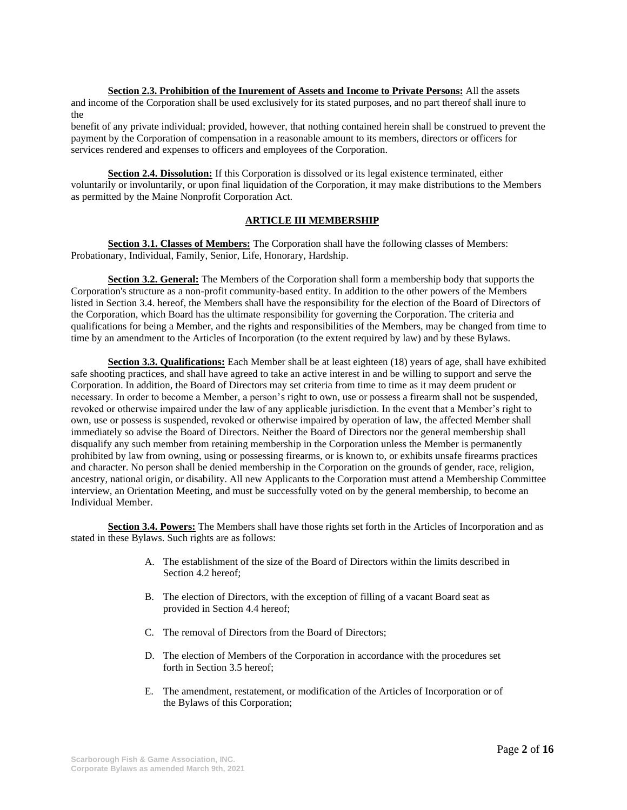**Section 2.3. Prohibition of the Inurement of Assets and Income to Private Persons:** All the assets and income of the Corporation shall be used exclusively for its stated purposes, and no part thereof shall inure to the

benefit of any private individual; provided, however, that nothing contained herein shall be construed to prevent the payment by the Corporation of compensation in a reasonable amount to its members, directors or officers for services rendered and expenses to officers and employees of the Corporation.

**Section 2.4. Dissolution:** If this Corporation is dissolved or its legal existence terminated, either voluntarily or involuntarily, or upon final liquidation of the Corporation, it may make distributions to the Members as permitted by the Maine Nonprofit Corporation Act.

## **ARTICLE III MEMBERSHIP**

**Section 3.1. Classes of Members:** The Corporation shall have the following classes of Members: Probationary, Individual, Family, Senior, Life, Honorary, Hardship.

**Section 3.2. General:** The Members of the Corporation shall form a membership body that supports the Corporation's structure as a non-profit community-based entity. In addition to the other powers of the Members listed in Section 3.4. hereof, the Members shall have the responsibility for the election of the Board of Directors of the Corporation, which Board has the ultimate responsibility for governing the Corporation. The criteria and qualifications for being a Member, and the rights and responsibilities of the Members, may be changed from time to time by an amendment to the Articles of Incorporation (to the extent required by law) and by these Bylaws.

**Section 3.3. Qualifications:** Each Member shall be at least eighteen (18) years of age, shall have exhibited safe shooting practices, and shall have agreed to take an active interest in and be willing to support and serve the Corporation. In addition, the Board of Directors may set criteria from time to time as it may deem prudent or necessary. In order to become a Member, a person's right to own, use or possess a firearm shall not be suspended, revoked or otherwise impaired under the law of any applicable jurisdiction. In the event that a Member's right to own, use or possess is suspended, revoked or otherwise impaired by operation of law, the affected Member shall immediately so advise the Board of Directors. Neither the Board of Directors nor the general membership shall disqualify any such member from retaining membership in the Corporation unless the Member is permanently prohibited by law from owning, using or possessing firearms, or is known to, or exhibits unsafe firearms practices and character. No person shall be denied membership in the Corporation on the grounds of gender, race, religion, ancestry, national origin, or disability. All new Applicants to the Corporation must attend a Membership Committee interview, an Orientation Meeting, and must be successfully voted on by the general membership, to become an Individual Member.

**Section 3.4. Powers:** The Members shall have those rights set forth in the Articles of Incorporation and as stated in these Bylaws. Such rights are as follows:

- A. The establishment of the size of the Board of Directors within the limits described in Section 4.2 hereof;
- B. The election of Directors, with the exception of filling of a vacant Board seat as provided in Section 4.4 hereof;
- C. The removal of Directors from the Board of Directors;
- D. The election of Members of the Corporation in accordance with the procedures set forth in Section 3.5 hereof;
- E. The amendment, restatement, or modification of the Articles of Incorporation or of the Bylaws of this Corporation;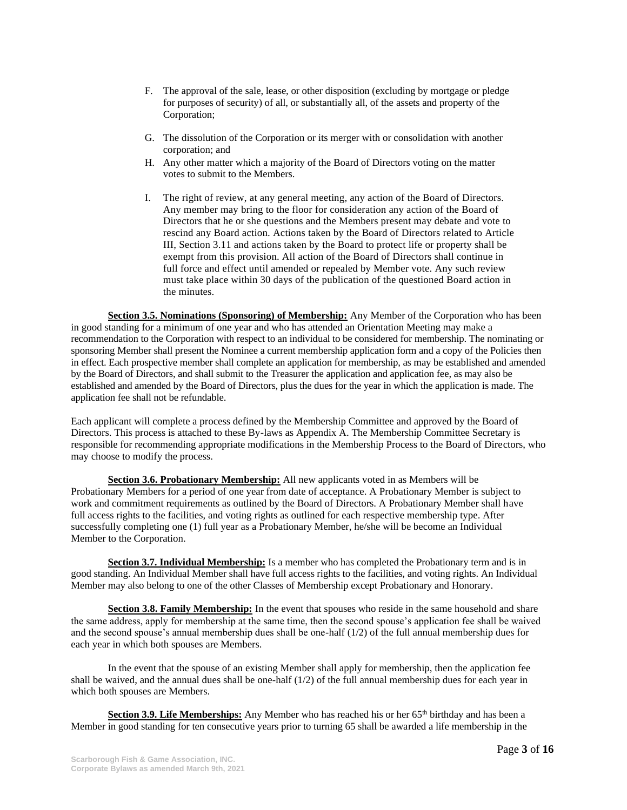- F. The approval of the sale, lease, or other disposition (excluding by mortgage or pledge for purposes of security) of all, or substantially all, of the assets and property of the Corporation;
- G. The dissolution of the Corporation or its merger with or consolidation with another corporation; and
- H. Any other matter which a majority of the Board of Directors voting on the matter votes to submit to the Members.
- I. The right of review, at any general meeting, any action of the Board of Directors. Any member may bring to the floor for consideration any action of the Board of Directors that he or she questions and the Members present may debate and vote to rescind any Board action. Actions taken by the Board of Directors related to Article III, Section 3.11 and actions taken by the Board to protect life or property shall be exempt from this provision. All action of the Board of Directors shall continue in full force and effect until amended or repealed by Member vote. Any such review must take place within 30 days of the publication of the questioned Board action in the minutes.

**Section 3.5. Nominations (Sponsoring) of Membership:** Any Member of the Corporation who has been in good standing for a minimum of one year and who has attended an Orientation Meeting may make a recommendation to the Corporation with respect to an individual to be considered for membership. The nominating or sponsoring Member shall present the Nominee a current membership application form and a copy of the Policies then in effect. Each prospective member shall complete an application for membership, as may be established and amended by the Board of Directors, and shall submit to the Treasurer the application and application fee, as may also be established and amended by the Board of Directors, plus the dues for the year in which the application is made. The application fee shall not be refundable.

Each applicant will complete a process defined by the Membership Committee and approved by the Board of Directors. This process is attached to these By-laws as Appendix A. The Membership Committee Secretary is responsible for recommending appropriate modifications in the Membership Process to the Board of Directors, who may choose to modify the process.

**Section 3.6. Probationary Membership:** All new applicants voted in as Members will be Probationary Members for a period of one year from date of acceptance. A Probationary Member is subject to work and commitment requirements as outlined by the Board of Directors. A Probationary Member shall have full access rights to the facilities, and voting rights as outlined for each respective membership type. After successfully completing one (1) full year as a Probationary Member, he/she will be become an Individual Member to the Corporation.

**Section 3.7. Individual Membership:** Is a member who has completed the Probationary term and is in good standing. An Individual Member shall have full access rights to the facilities, and voting rights. An Individual Member may also belong to one of the other Classes of Membership except Probationary and Honorary.

**Section 3.8. Family Membership:** In the event that spouses who reside in the same household and share the same address, apply for membership at the same time, then the second spouse's application fee shall be waived and the second spouse's annual membership dues shall be one-half (1/2) of the full annual membership dues for each year in which both spouses are Members.

In the event that the spouse of an existing Member shall apply for membership, then the application fee shall be waived, and the annual dues shall be one-half  $(1/2)$  of the full annual membership dues for each year in which both spouses are Members.

Section 3.9. Life Memberships: Any Member who has reached his or her 65<sup>th</sup> birthday and has been a Member in good standing for ten consecutive years prior to turning 65 shall be awarded a life membership in the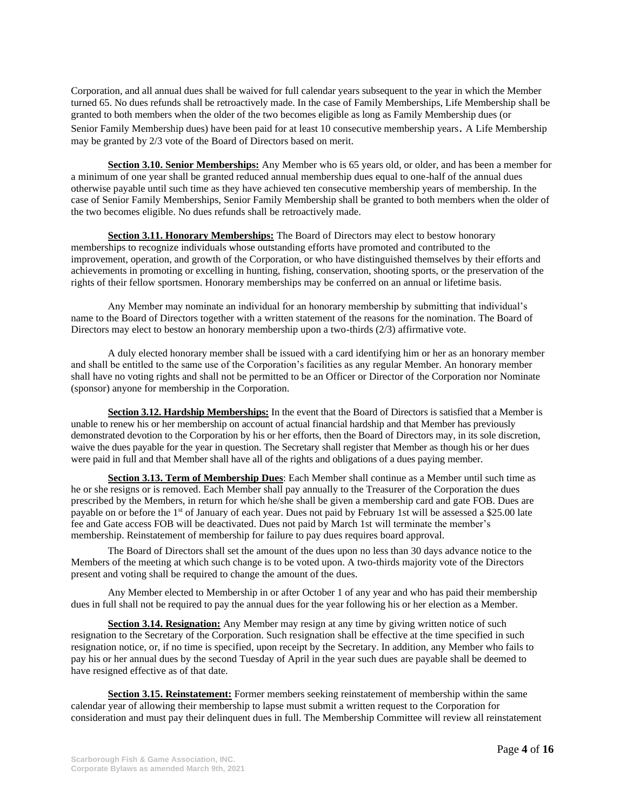Corporation, and all annual dues shall be waived for full calendar years subsequent to the year in which the Member turned 65. No dues refunds shall be retroactively made. In the case of Family Memberships, Life Membership shall be granted to both members when the older of the two becomes eligible as long as Family Membership dues (or Senior Family Membership dues) have been paid for at least 10 consecutive membership years. A Life Membership may be granted by 2/3 vote of the Board of Directors based on merit.

**Section 3.10. Senior Memberships:** Any Member who is 65 years old, or older, and has been a member for a minimum of one year shall be granted reduced annual membership dues equal to one-half of the annual dues otherwise payable until such time as they have achieved ten consecutive membership years of membership. In the case of Senior Family Memberships, Senior Family Membership shall be granted to both members when the older of the two becomes eligible. No dues refunds shall be retroactively made.

**Section 3.11. Honorary Memberships:** The Board of Directors may elect to bestow honorary memberships to recognize individuals whose outstanding efforts have promoted and contributed to the improvement, operation, and growth of the Corporation, or who have distinguished themselves by their efforts and achievements in promoting or excelling in hunting, fishing, conservation, shooting sports, or the preservation of the rights of their fellow sportsmen. Honorary memberships may be conferred on an annual or lifetime basis.

Any Member may nominate an individual for an honorary membership by submitting that individual's name to the Board of Directors together with a written statement of the reasons for the nomination. The Board of Directors may elect to bestow an honorary membership upon a two-thirds (2/3) affirmative vote.

A duly elected honorary member shall be issued with a card identifying him or her as an honorary member and shall be entitled to the same use of the Corporation's facilities as any regular Member. An honorary member shall have no voting rights and shall not be permitted to be an Officer or Director of the Corporation nor Nominate (sponsor) anyone for membership in the Corporation.

**Section 3.12. Hardship Memberships:** In the event that the Board of Directors is satisfied that a Member is unable to renew his or her membership on account of actual financial hardship and that Member has previously demonstrated devotion to the Corporation by his or her efforts, then the Board of Directors may, in its sole discretion, waive the dues payable for the year in question. The Secretary shall register that Member as though his or her dues were paid in full and that Member shall have all of the rights and obligations of a dues paying member.

**Section 3.13. Term of Membership Dues**: Each Member shall continue as a Member until such time as he or she resigns or is removed. Each Member shall pay annually to the Treasurer of the Corporation the dues prescribed by the Members, in return for which he/she shall be given a membership card and gate FOB. Dues are payable on or before the 1st of January of each year. Dues not paid by February 1st will be assessed a \$25.00 late fee and Gate access FOB will be deactivated. Dues not paid by March 1st will terminate the member's membership. Reinstatement of membership for failure to pay dues requires board approval.

The Board of Directors shall set the amount of the dues upon no less than 30 days advance notice to the Members of the meeting at which such change is to be voted upon. A two-thirds majority vote of the Directors present and voting shall be required to change the amount of the dues.

Any Member elected to Membership in or after October 1 of any year and who has paid their membership dues in full shall not be required to pay the annual dues for the year following his or her election as a Member.

**Section 3.14. Resignation:** Any Member may resign at any time by giving written notice of such resignation to the Secretary of the Corporation. Such resignation shall be effective at the time specified in such resignation notice, or, if no time is specified, upon receipt by the Secretary. In addition, any Member who fails to pay his or her annual dues by the second Tuesday of April in the year such dues are payable shall be deemed to have resigned effective as of that date.

**Section 3.15. Reinstatement:** Former members seeking reinstatement of membership within the same calendar year of allowing their membership to lapse must submit a written request to the Corporation for consideration and must pay their delinquent dues in full. The Membership Committee will review all reinstatement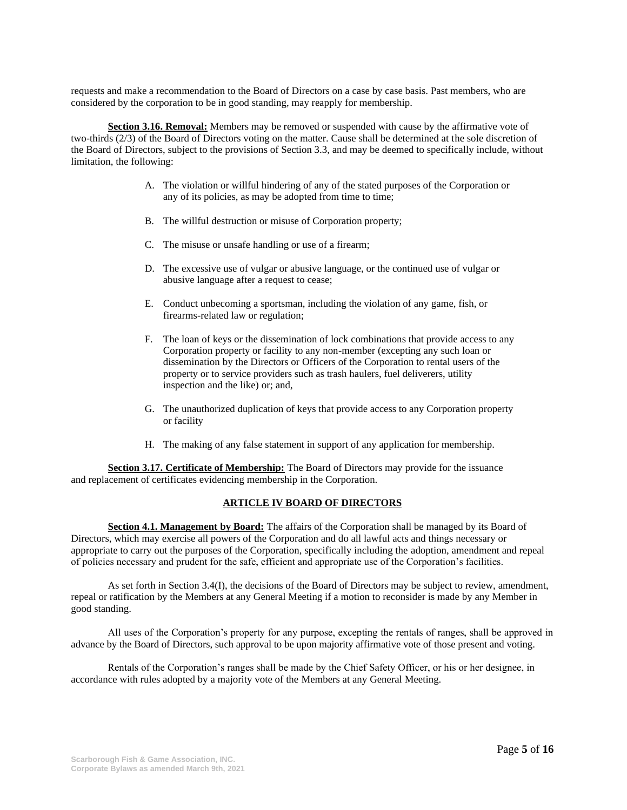requests and make a recommendation to the Board of Directors on a case by case basis. Past members, who are considered by the corporation to be in good standing, may reapply for membership.

**Section 3.16. Removal:** Members may be removed or suspended with cause by the affirmative vote of two-thirds (2/3) of the Board of Directors voting on the matter. Cause shall be determined at the sole discretion of the Board of Directors, subject to the provisions of Section 3.3, and may be deemed to specifically include, without limitation, the following:

- A. The violation or willful hindering of any of the stated purposes of the Corporation or any of its policies, as may be adopted from time to time;
- B. The willful destruction or misuse of Corporation property;
- C. The misuse or unsafe handling or use of a firearm;
- D. The excessive use of vulgar or abusive language, or the continued use of vulgar or abusive language after a request to cease;
- E. Conduct unbecoming a sportsman, including the violation of any game, fish, or firearms-related law or regulation;
- F. The loan of keys or the dissemination of lock combinations that provide access to any Corporation property or facility to any non-member (excepting any such loan or dissemination by the Directors or Officers of the Corporation to rental users of the property or to service providers such as trash haulers, fuel deliverers, utility inspection and the like) or; and,
- G. The unauthorized duplication of keys that provide access to any Corporation property or facility
- H. The making of any false statement in support of any application for membership.

**Section 3.17. Certificate of Membership:** The Board of Directors may provide for the issuance and replacement of certificates evidencing membership in the Corporation.

#### **ARTICLE IV BOARD OF DIRECTORS**

**Section 4.1. Management by Board:** The affairs of the Corporation shall be managed by its Board of Directors, which may exercise all powers of the Corporation and do all lawful acts and things necessary or appropriate to carry out the purposes of the Corporation, specifically including the adoption, amendment and repeal of policies necessary and prudent for the safe, efficient and appropriate use of the Corporation's facilities.

As set forth in Section 3.4(I), the decisions of the Board of Directors may be subject to review, amendment, repeal or ratification by the Members at any General Meeting if a motion to reconsider is made by any Member in good standing.

All uses of the Corporation's property for any purpose, excepting the rentals of ranges, shall be approved in advance by the Board of Directors, such approval to be upon majority affirmative vote of those present and voting.

Rentals of the Corporation's ranges shall be made by the Chief Safety Officer, or his or her designee, in accordance with rules adopted by a majority vote of the Members at any General Meeting.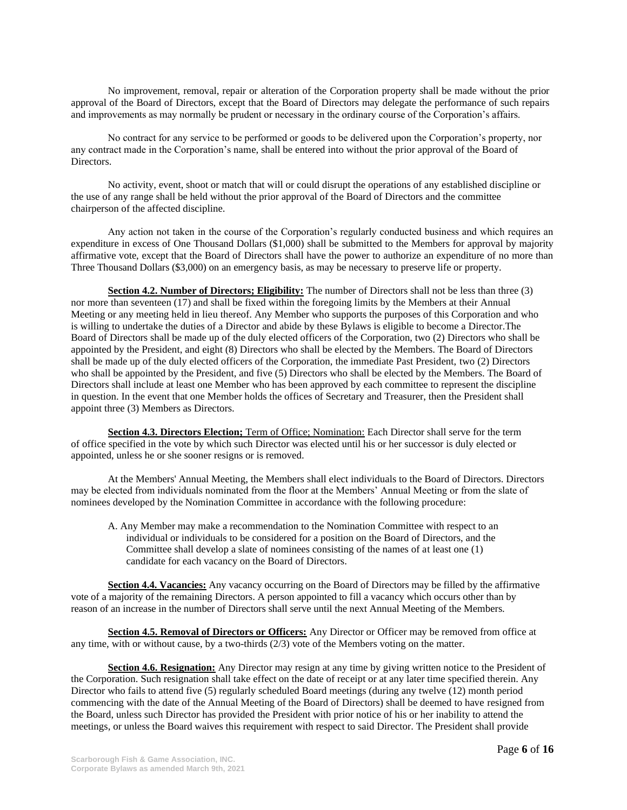No improvement, removal, repair or alteration of the Corporation property shall be made without the prior approval of the Board of Directors, except that the Board of Directors may delegate the performance of such repairs and improvements as may normally be prudent or necessary in the ordinary course of the Corporation's affairs.

No contract for any service to be performed or goods to be delivered upon the Corporation's property, nor any contract made in the Corporation's name, shall be entered into without the prior approval of the Board of Directors.

No activity, event, shoot or match that will or could disrupt the operations of any established discipline or the use of any range shall be held without the prior approval of the Board of Directors and the committee chairperson of the affected discipline.

Any action not taken in the course of the Corporation's regularly conducted business and which requires an expenditure in excess of One Thousand Dollars (\$1,000) shall be submitted to the Members for approval by majority affirmative vote, except that the Board of Directors shall have the power to authorize an expenditure of no more than Three Thousand Dollars (\$3,000) on an emergency basis, as may be necessary to preserve life or property.

**Section 4.2. Number of Directors; Eligibility:** The number of Directors shall not be less than three (3) nor more than seventeen (17) and shall be fixed within the foregoing limits by the Members at their Annual Meeting or any meeting held in lieu thereof. Any Member who supports the purposes of this Corporation and who is willing to undertake the duties of a Director and abide by these Bylaws is eligible to become a Director.The Board of Directors shall be made up of the duly elected officers of the Corporation, two (2) Directors who shall be appointed by the President, and eight (8) Directors who shall be elected by the Members. The Board of Directors shall be made up of the duly elected officers of the Corporation, the immediate Past President, two (2) Directors who shall be appointed by the President, and five (5) Directors who shall be elected by the Members. The Board of Directors shall include at least one Member who has been approved by each committee to represent the discipline in question. In the event that one Member holds the offices of Secretary and Treasurer, then the President shall appoint three (3) Members as Directors.

**Section 4.3. Directors Election;** Term of Office; Nomination: Each Director shall serve for the term of office specified in the vote by which such Director was elected until his or her successor is duly elected or appointed, unless he or she sooner resigns or is removed.

At the Members' Annual Meeting, the Members shall elect individuals to the Board of Directors. Directors may be elected from individuals nominated from the floor at the Members' Annual Meeting or from the slate of nominees developed by the Nomination Committee in accordance with the following procedure:

A. Any Member may make a recommendation to the Nomination Committee with respect to an individual or individuals to be considered for a position on the Board of Directors, and the Committee shall develop a slate of nominees consisting of the names of at least one (1) candidate for each vacancy on the Board of Directors.

**Section 4.4. Vacancies:** Any vacancy occurring on the Board of Directors may be filled by the affirmative vote of a majority of the remaining Directors. A person appointed to fill a vacancy which occurs other than by reason of an increase in the number of Directors shall serve until the next Annual Meeting of the Members.

**Section 4.5. Removal of Directors or Officers:** Any Director or Officer may be removed from office at any time, with or without cause, by a two-thirds (2/3) vote of the Members voting on the matter.

**Section 4.6. Resignation:** Any Director may resign at any time by giving written notice to the President of the Corporation. Such resignation shall take effect on the date of receipt or at any later time specified therein. Any Director who fails to attend five (5) regularly scheduled Board meetings (during any twelve (12) month period commencing with the date of the Annual Meeting of the Board of Directors) shall be deemed to have resigned from the Board, unless such Director has provided the President with prior notice of his or her inability to attend the meetings, or unless the Board waives this requirement with respect to said Director. The President shall provide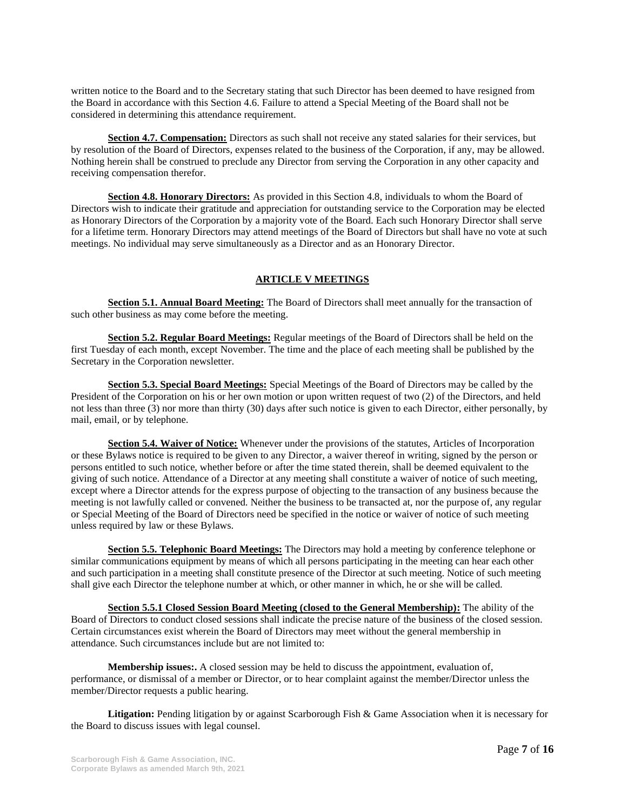written notice to the Board and to the Secretary stating that such Director has been deemed to have resigned from the Board in accordance with this Section 4.6. Failure to attend a Special Meeting of the Board shall not be considered in determining this attendance requirement.

**Section 4.7. Compensation:** Directors as such shall not receive any stated salaries for their services, but by resolution of the Board of Directors, expenses related to the business of the Corporation, if any, may be allowed. Nothing herein shall be construed to preclude any Director from serving the Corporation in any other capacity and receiving compensation therefor.

**Section 4.8. Honorary Directors:** As provided in this Section 4.8, individuals to whom the Board of Directors wish to indicate their gratitude and appreciation for outstanding service to the Corporation may be elected as Honorary Directors of the Corporation by a majority vote of the Board. Each such Honorary Director shall serve for a lifetime term. Honorary Directors may attend meetings of the Board of Directors but shall have no vote at such meetings. No individual may serve simultaneously as a Director and as an Honorary Director.

# **ARTICLE V MEETINGS**

**Section 5.1. Annual Board Meeting:** The Board of Directors shall meet annually for the transaction of such other business as may come before the meeting.

**Section 5.2. Regular Board Meetings:** Regular meetings of the Board of Directors shall be held on the first Tuesday of each month, except November. The time and the place of each meeting shall be published by the Secretary in the Corporation newsletter.

**Section 5.3. Special Board Meetings:** Special Meetings of the Board of Directors may be called by the President of the Corporation on his or her own motion or upon written request of two (2) of the Directors, and held not less than three (3) nor more than thirty (30) days after such notice is given to each Director, either personally, by mail, email*,* or by telephone.

**Section 5.4. Waiver of Notice:** Whenever under the provisions of the statutes, Articles of Incorporation or these Bylaws notice is required to be given to any Director, a waiver thereof in writing, signed by the person or persons entitled to such notice, whether before or after the time stated therein, shall be deemed equivalent to the giving of such notice. Attendance of a Director at any meeting shall constitute a waiver of notice of such meeting, except where a Director attends for the express purpose of objecting to the transaction of any business because the meeting is not lawfully called or convened. Neither the business to be transacted at, nor the purpose of, any regular or Special Meeting of the Board of Directors need be specified in the notice or waiver of notice of such meeting unless required by law or these Bylaws.

**Section 5.5. Telephonic Board Meetings:** The Directors may hold a meeting by conference telephone or similar communications equipment by means of which all persons participating in the meeting can hear each other and such participation in a meeting shall constitute presence of the Director at such meeting. Notice of such meeting shall give each Director the telephone number at which, or other manner in which, he or she will be called.

**Section 5.5.1 Closed Session Board Meeting (closed to the General Membership):** The ability of the Board of Directors to conduct closed sessions shall indicate the precise nature of the business of the closed session. Certain circumstances exist wherein the Board of Directors may meet without the general membership in attendance. Such circumstances include but are not limited to:

**Membership issues:.** A closed session may be held to discuss the appointment, evaluation of, performance, or dismissal of a member or Director, or to hear complaint against the member/Director unless the member/Director requests a public hearing.

**Litigation:** Pending litigation by or against Scarborough Fish & Game Association when it is necessary for the Board to discuss issues with legal counsel.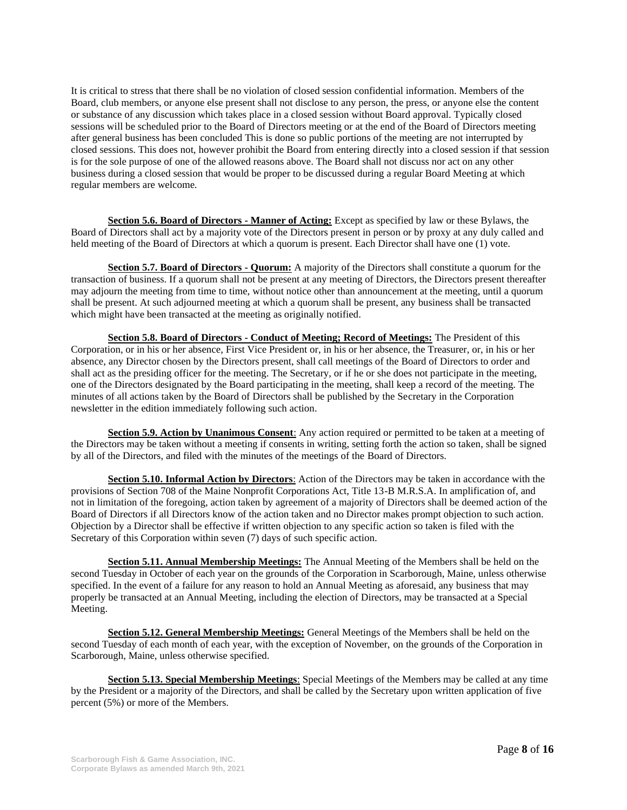It is critical to stress that there shall be no violation of closed session confidential information. Members of the Board, club members, or anyone else present shall not disclose to any person, the press, or anyone else the content or substance of any discussion which takes place in a closed session without Board approval. Typically closed sessions will be scheduled prior to the Board of Directors meeting or at the end of the Board of Directors meeting after general business has been concluded This is done so public portions of the meeting are not interrupted by closed sessions. This does not, however prohibit the Board from entering directly into a closed session if that session is for the sole purpose of one of the allowed reasons above. The Board shall not discuss nor act on any other business during a closed session that would be proper to be discussed during a regular Board Meeting at which regular members are welcome.

**Section 5.6. Board of Directors - Manner of Acting:** Except as specified by law or these Bylaws, the Board of Directors shall act by a majority vote of the Directors present in person or by proxy at any duly called and held meeting of the Board of Directors at which a quorum is present. Each Director shall have one (1) vote.

**Section 5.7. Board of Directors - Quorum:** A majority of the Directors shall constitute a quorum for the transaction of business. If a quorum shall not be present at any meeting of Directors, the Directors present thereafter may adjourn the meeting from time to time, without notice other than announcement at the meeting, until a quorum shall be present. At such adjourned meeting at which a quorum shall be present, any business shall be transacted which might have been transacted at the meeting as originally notified.

**Section 5.8. Board of Directors - Conduct of Meeting; Record of Meetings:** The President of this Corporation, or in his or her absence, First Vice President or, in his or her absence, the Treasurer, or, in his or her absence, any Director chosen by the Directors present, shall call meetings of the Board of Directors to order and shall act as the presiding officer for the meeting. The Secretary, or if he or she does not participate in the meeting, one of the Directors designated by the Board participating in the meeting, shall keep a record of the meeting. The minutes of all actions taken by the Board of Directors shall be published by the Secretary in the Corporation newsletter in the edition immediately following such action.

**Section 5.9. Action by Unanimous Consent**: Any action required or permitted to be taken at a meeting of the Directors may be taken without a meeting if consents in writing, setting forth the action so taken, shall be signed by all of the Directors, and filed with the minutes of the meetings of the Board of Directors.

**Section 5.10. Informal Action by Directors**: Action of the Directors may be taken in accordance with the provisions of Section 708 of the Maine Nonprofit Corporations Act, Title 13-B M.R.S.A. In amplification of, and not in limitation of the foregoing, action taken by agreement of a majority of Directors shall be deemed action of the Board of Directors if all Directors know of the action taken and no Director makes prompt objection to such action. Objection by a Director shall be effective if written objection to any specific action so taken is filed with the Secretary of this Corporation within seven (7) days of such specific action.

**Section 5.11. Annual Membership Meetings:** The Annual Meeting of the Members shall be held on the second Tuesday in October of each year on the grounds of the Corporation in Scarborough, Maine, unless otherwise specified. In the event of a failure for any reason to hold an Annual Meeting as aforesaid, any business that may properly be transacted at an Annual Meeting, including the election of Directors, may be transacted at a Special Meeting.

**Section 5.12. General Membership Meetings:** General Meetings of the Members shall be held on the second Tuesday of each month of each year, with the exception of November, on the grounds of the Corporation in Scarborough, Maine, unless otherwise specified.

**Section 5.13. Special Membership Meetings**: Special Meetings of the Members may be called at any time by the President or a majority of the Directors, and shall be called by the Secretary upon written application of five percent (5%) or more of the Members.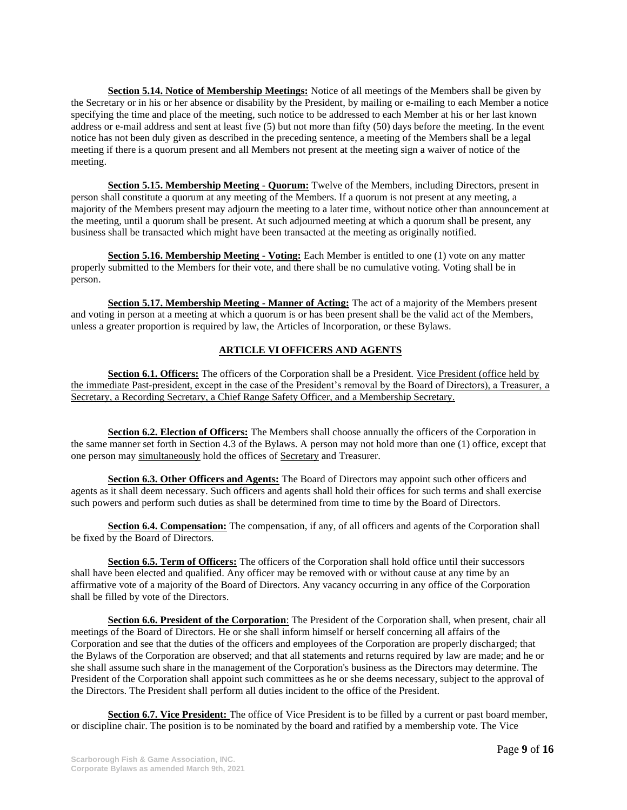**Section 5.14. Notice of Membership Meetings:** Notice of all meetings of the Members shall be given by the Secretary or in his or her absence or disability by the President, by mailing or e-mailing to each Member a notice specifying the time and place of the meeting, such notice to be addressed to each Member at his or her last known address or e-mail address and sent at least five (5) but not more than fifty (50) days before the meeting. In the event notice has not been duly given as described in the preceding sentence, a meeting of the Members shall be a legal meeting if there is a quorum present and all Members not present at the meeting sign a waiver of notice of the meeting.

**Section 5.15. Membership Meeting - Quorum:** Twelve of the Members, including Directors, present in person shall constitute a quorum at any meeting of the Members. If a quorum is not present at any meeting, a majority of the Members present may adjourn the meeting to a later time, without notice other than announcement at the meeting, until a quorum shall be present. At such adjourned meeting at which a quorum shall be present, any business shall be transacted which might have been transacted at the meeting as originally notified.

**Section 5.16. Membership Meeting - Voting:** Each Member is entitled to one (1) vote on any matter properly submitted to the Members for their vote, and there shall be no cumulative voting. Voting shall be in person.

**Section 5.17. Membership Meeting - Manner of Acting:** The act of a majority of the Members present and voting in person at a meeting at which a quorum is or has been present shall be the valid act of the Members, unless a greater proportion is required by law, the Articles of Incorporation, or these Bylaws.

# **ARTICLE VI OFFICERS AND AGENTS**

**Section 6.1. Officers:** The officers of the Corporation shall be a President. Vice President (office held by the immediate Past-president, except in the case of the President's removal by the Board of Directors), a Treasurer, a Secretary, a Recording Secretary, a Chief Range Safety Officer, and a Membership Secretary.

**Section 6.2. Election of Officers:** The Members shall choose annually the officers of the Corporation in the same manner set forth in Section 4.3 of the Bylaws. A person may not hold more than one (1) office, except that one person may simultaneously hold the offices of Secretary and Treasurer.

**Section 6.3. Other Officers and Agents:** The Board of Directors may appoint such other officers and agents as it shall deem necessary. Such officers and agents shall hold their offices for such terms and shall exercise such powers and perform such duties as shall be determined from time to time by the Board of Directors.

**Section 6.4. Compensation:** The compensation, if any, of all officers and agents of the Corporation shall be fixed by the Board of Directors.

**Section 6.5. Term of Officers:** The officers of the Corporation shall hold office until their successors shall have been elected and qualified. Any officer may be removed with or without cause at any time by an affirmative vote of a majority of the Board of Directors. Any vacancy occurring in any office of the Corporation shall be filled by vote of the Directors.

**Section 6.6. President of the Corporation**: The President of the Corporation shall, when present, chair all meetings of the Board of Directors. He or she shall inform himself or herself concerning all affairs of the Corporation and see that the duties of the officers and employees of the Corporation are properly discharged; that the Bylaws of the Corporation are observed; and that all statements and returns required by law are made; and he or she shall assume such share in the management of the Corporation's business as the Directors may determine. The President of the Corporation shall appoint such committees as he or she deems necessary, subject to the approval of the Directors. The President shall perform all duties incident to the office of the President.

**Section 6.7. Vice President:** The office of Vice President is to be filled by a current or past board member, or discipline chair. The position is to be nominated by the board and ratified by a membership vote. The Vice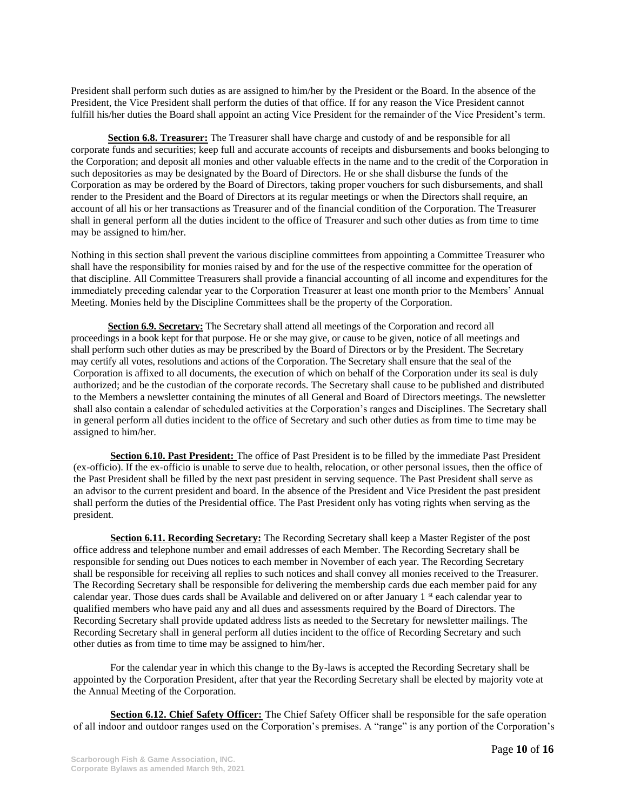President shall perform such duties as are assigned to him/her by the President or the Board. In the absence of the President, the Vice President shall perform the duties of that office. If for any reason the Vice President cannot fulfill his/her duties the Board shall appoint an acting Vice President for the remainder of the Vice President's term.

**Section 6.8. Treasurer:** The Treasurer shall have charge and custody of and be responsible for all corporate funds and securities; keep full and accurate accounts of receipts and disbursements and books belonging to the Corporation; and deposit all monies and other valuable effects in the name and to the credit of the Corporation in such depositories as may be designated by the Board of Directors. He or she shall disburse the funds of the Corporation as may be ordered by the Board of Directors, taking proper vouchers for such disbursements, and shall render to the President and the Board of Directors at its regular meetings or when the Directors shall require, an account of all his or her transactions as Treasurer and of the financial condition of the Corporation. The Treasurer shall in general perform all the duties incident to the office of Treasurer and such other duties as from time to time may be assigned to him/her.

Nothing in this section shall prevent the various discipline committees from appointing a Committee Treasurer who shall have the responsibility for monies raised by and for the use of the respective committee for the operation of that discipline. All Committee Treasurers shall provide a financial accounting of all income and expenditures for the immediately preceding calendar year to the Corporation Treasurer at least one month prior to the Members' Annual Meeting. Monies held by the Discipline Committees shall be the property of the Corporation.

**Section 6.9. Secretary:** The Secretary shall attend all meetings of the Corporation and record all proceedings in a book kept for that purpose. He or she may give, or cause to be given, notice of all meetings and shall perform such other duties as may be prescribed by the Board of Directors or by the President. The Secretary may certify all votes, resolutions and actions of the Corporation. The Secretary shall ensure that the seal of the Corporation is affixed to all documents, the execution of which on behalf of the Corporation under its seal is duly authorized; and be the custodian of the corporate records. The Secretary shall cause to be published and distributed to the Members a newsletter containing the minutes of all General and Board of Directors meetings. The newsletter shall also contain a calendar of scheduled activities at the Corporation's ranges and Disciplines. The Secretary shall in general perform all duties incident to the office of Secretary and such other duties as from time to time may be assigned to him/her.

**Section 6.10. Past President:** The office of Past President is to be filled by the immediate Past President (ex-officio). If the ex-officio is unable to serve due to health, relocation, or other personal issues, then the office of the Past President shall be filled by the next past president in serving sequence. The Past President shall serve as an advisor to the current president and board. In the absence of the President and Vice President the past president shall perform the duties of the Presidential office. The Past President only has voting rights when serving as the president.

**Section 6.11. Recording Secretary:** The Recording Secretary shall keep a Master Register of the post office address and telephone number and email addresses of each Member. The Recording Secretary shall be responsible for sending out Dues notices to each member in November of each year. The Recording Secretary shall be responsible for receiving all replies to such notices and shall convey all monies received to the Treasurer. The Recording Secretary shall be responsible for delivering the membership cards due each member paid for any calendar year. Those dues cards shall be Available and delivered on or after January 1<sup>st</sup> each calendar year to qualified members who have paid any and all dues and assessments required by the Board of Directors. The Recording Secretary shall provide updated address lists as needed to the Secretary for newsletter mailings. The Recording Secretary shall in general perform all duties incident to the office of Recording Secretary and such other duties as from time to time may be assigned to him/her.

For the calendar year in which this change to the By-laws is accepted the Recording Secretary shall be appointed by the Corporation President, after that year the Recording Secretary shall be elected by majority vote at the Annual Meeting of the Corporation.

**Section 6.12. Chief Safety Officer:** The Chief Safety Officer shall be responsible for the safe operation of all indoor and outdoor ranges used on the Corporation's premises. A "range" is any portion of the Corporation's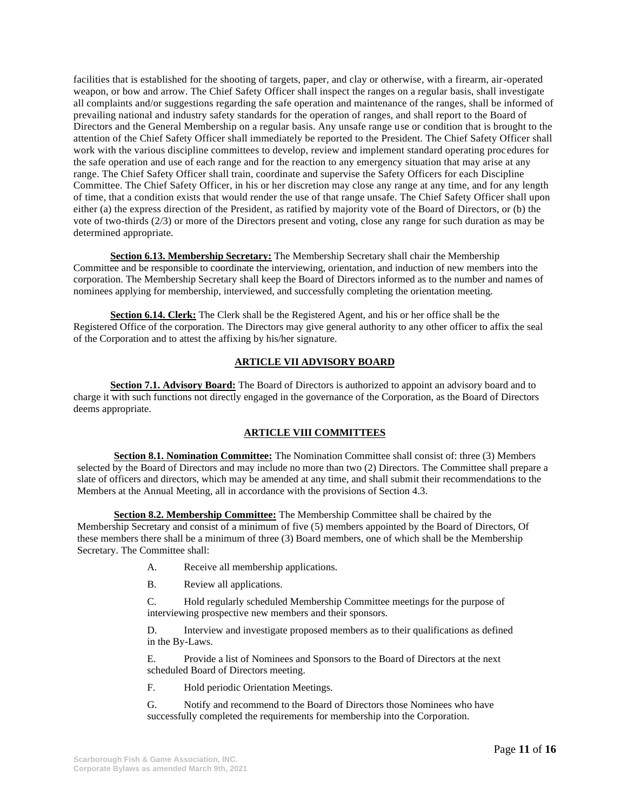facilities that is established for the shooting of targets, paper, and clay or otherwise, with a firearm, air-operated weapon, or bow and arrow. The Chief Safety Officer shall inspect the ranges on a regular basis, shall investigate all complaints and/or suggestions regarding the safe operation and maintenance of the ranges, shall be informed of prevailing national and industry safety standards for the operation of ranges, and shall report to the Board of Directors and the General Membership on a regular basis. Any unsafe range use or condition that is brought to the attention of the Chief Safety Officer shall immediately be reported to the President. The Chief Safety Officer shall work with the various discipline committees to develop, review and implement standard operating procedures for the safe operation and use of each range and for the reaction to any emergency situation that may arise at any range. The Chief Safety Officer shall train, coordinate and supervise the Safety Officers for each Discipline Committee. The Chief Safety Officer, in his or her discretion may close any range at any time, and for any length of time, that a condition exists that would render the use of that range unsafe. The Chief Safety Officer shall upon either (a) the express direction of the President, as ratified by majority vote of the Board of Directors, or (b) the vote of two-thirds (2/3) or more of the Directors present and voting, close any range for such duration as may be determined appropriate.

**Section 6.13. Membership Secretary:** The Membership Secretary shall chair the Membership Committee and be responsible to coordinate the interviewing, orientation, and induction of new members into the corporation. The Membership Secretary shall keep the Board of Directors informed as to the number and names of nominees applying for membership, interviewed, and successfully completing the orientation meeting.

**Section 6.14. Clerk:** The Clerk shall be the Registered Agent, and his or her office shall be the Registered Office of the corporation. The Directors may give general authority to any other officer to affix the seal of the Corporation and to attest the affixing by his/her signature.

## **ARTICLE VII ADVISORY BOARD**

**Section 7.1. Advisory Board:** The Board of Directors is authorized to appoint an advisory board and to charge it with such functions not directly engaged in the governance of the Corporation, as the Board of Directors deems appropriate.

# **ARTICLE VIII COMMITTEES**

**Section 8.1. Nomination Committee:** The Nomination Committee shall consist of: three (3) Members selected by the Board of Directors and may include no more than two (2) Directors. The Committee shall prepare a slate of officers and directors, which may be amended at any time, and shall submit their recommendations to the Members at the Annual Meeting, all in accordance with the provisions of Section 4.3.

**Section 8.2. Membership Committee:** The Membership Committee shall be chaired by the Membership Secretary and consist of a minimum of five (5) members appointed by the Board of Directors, Of these members there shall be a minimum of three (3) Board members, one of which shall be the Membership Secretary. The Committee shall:

- A. Receive all membership applications.
- B. Review all applications.

C. Hold regularly scheduled Membership Committee meetings for the purpose of interviewing prospective new members and their sponsors.

D. Interview and investigate proposed members as to their qualifications as defined in the By-Laws.

E. Provide a list of Nominees and Sponsors to the Board of Directors at the next scheduled Board of Directors meeting.

F. Hold periodic Orientation Meetings.

G. Notify and recommend to the Board of Directors those Nominees who have successfully completed the requirements for membership into the Corporation.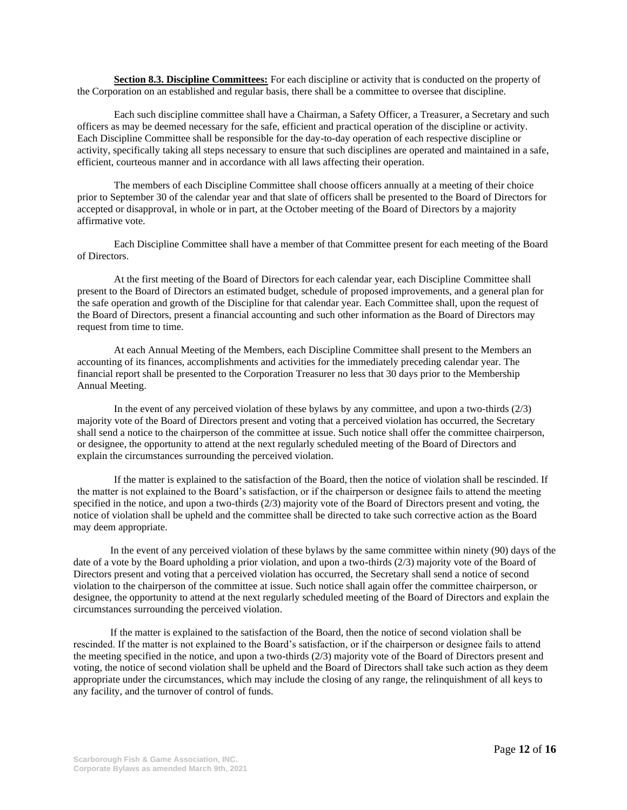**Section 8.3. Discipline Committees:** For each discipline or activity that is conducted on the property of the Corporation on an established and regular basis, there shall be a committee to oversee that discipline.

Each such discipline committee shall have a Chairman, a Safety Officer, a Treasurer, a Secretary and such officers as may be deemed necessary for the safe, efficient and practical operation of the discipline or activity. Each Discipline Committee shall be responsible for the day-to-day operation of each respective discipline or activity, specifically taking all steps necessary to ensure that such disciplines are operated and maintained in a safe, efficient, courteous manner and in accordance with all laws affecting their operation.

The members of each Discipline Committee shall choose officers annually at a meeting of their choice prior to September 30 of the calendar year and that slate of officers shall be presented to the Board of Directors for accepted or disapproval, in whole or in part, at the October meeting of the Board of Directors by a majority affirmative vote.

Each Discipline Committee shall have a member of that Committee present for each meeting of the Board of Directors.

At the first meeting of the Board of Directors for each calendar year, each Discipline Committee shall present to the Board of Directors an estimated budget, schedule of proposed improvements, and a general plan for the safe operation and growth of the Discipline for that calendar year. Each Committee shall, upon the request of the Board of Directors, present a financial accounting and such other information as the Board of Directors may request from time to time.

At each Annual Meeting of the Members, each Discipline Committee shall present to the Members an accounting of its finances, accomplishments and activities for the immediately preceding calendar year. The financial report shall be presented to the Corporation Treasurer no less that 30 days prior to the Membership Annual Meeting.

In the event of any perceived violation of these bylaws by any committee, and upon a two-thirds (2/3) majority vote of the Board of Directors present and voting that a perceived violation has occurred, the Secretary shall send a notice to the chairperson of the committee at issue. Such notice shall offer the committee chairperson, or designee, the opportunity to attend at the next regularly scheduled meeting of the Board of Directors and explain the circumstances surrounding the perceived violation.

If the matter is explained to the satisfaction of the Board, then the notice of violation shall be rescinded. If the matter is not explained to the Board's satisfaction, or if the chairperson or designee fails to attend the meeting specified in the notice, and upon a two-thirds (2/3) majority vote of the Board of Directors present and voting, the notice of violation shall be upheld and the committee shall be directed to take such corrective action as the Board may deem appropriate.

In the event of any perceived violation of these bylaws by the same committee within ninety (90) days of the date of a vote by the Board upholding a prior violation, and upon a two-thirds (2/3) majority vote of the Board of Directors present and voting that a perceived violation has occurred, the Secretary shall send a notice of second violation to the chairperson of the committee at issue. Such notice shall again offer the committee chairperson, or designee, the opportunity to attend at the next regularly scheduled meeting of the Board of Directors and explain the circumstances surrounding the perceived violation.

If the matter is explained to the satisfaction of the Board, then the notice of second violation shall be rescinded. If the matter is not explained to the Board's satisfaction, or if the chairperson or designee fails to attend the meeting specified in the notice, and upon a two-thirds (2/3) majority vote of the Board of Directors present and voting, the notice of second violation shall be upheld and the Board of Directors shall take such action as they deem appropriate under the circumstances, which may include the closing of any range, the relinquishment of all keys to any facility, and the turnover of control of funds.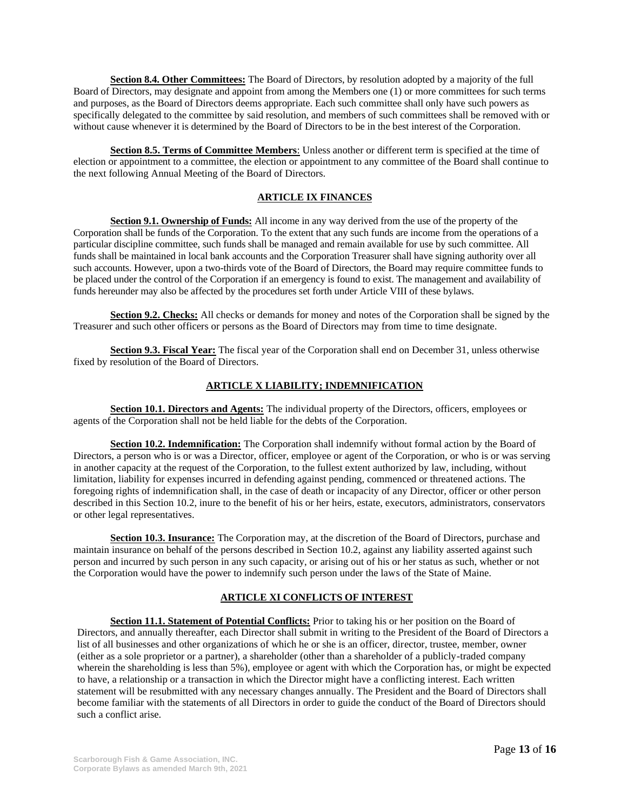**Section 8.4. Other Committees:** The Board of Directors, by resolution adopted by a majority of the full Board of Directors, may designate and appoint from among the Members one (1) or more committees for such terms and purposes, as the Board of Directors deems appropriate. Each such committee shall only have such powers as specifically delegated to the committee by said resolution, and members of such committees shall be removed with or without cause whenever it is determined by the Board of Directors to be in the best interest of the Corporation.

**Section 8.5. Terms of Committee Members**: Unless another or different term is specified at the time of election or appointment to a committee, the election or appointment to any committee of the Board shall continue to the next following Annual Meeting of the Board of Directors.

## **ARTICLE IX FINANCES**

**Section 9.1. Ownership of Funds:** All income in any way derived from the use of the property of the Corporation shall be funds of the Corporation. To the extent that any such funds are income from the operations of a particular discipline committee, such funds shall be managed and remain available for use by such committee. All funds shall be maintained in local bank accounts and the Corporation Treasurer shall have signing authority over all such accounts. However, upon a two-thirds vote of the Board of Directors, the Board may require committee funds to be placed under the control of the Corporation if an emergency is found to exist. The management and availability of funds hereunder may also be affected by the procedures set forth under Article VIII of these bylaws.

**Section 9.2. Checks:** All checks or demands for money and notes of the Corporation shall be signed by the Treasurer and such other officers or persons as the Board of Directors may from time to time designate.

**Section 9.3. Fiscal Year:** The fiscal year of the Corporation shall end on December 31, unless otherwise fixed by resolution of the Board of Directors.

# **ARTICLE X LIABILITY; INDEMNIFICATION**

**Section 10.1. Directors and Agents:** The individual property of the Directors, officers, employees or agents of the Corporation shall not be held liable for the debts of the Corporation.

**Section 10.2. Indemnification:** The Corporation shall indemnify without formal action by the Board of Directors, a person who is or was a Director, officer, employee or agent of the Corporation, or who is or was serving in another capacity at the request of the Corporation, to the fullest extent authorized by law, including, without limitation, liability for expenses incurred in defending against pending, commenced or threatened actions. The foregoing rights of indemnification shall, in the case of death or incapacity of any Director, officer or other person described in this Section 10.2, inure to the benefit of his or her heirs, estate, executors, administrators, conservators or other legal representatives.

**Section 10.3. Insurance:** The Corporation may, at the discretion of the Board of Directors, purchase and maintain insurance on behalf of the persons described in Section 10.2, against any liability asserted against such person and incurred by such person in any such capacity, or arising out of his or her status as such, whether or not the Corporation would have the power to indemnify such person under the laws of the State of Maine.

# **ARTICLE XI CONFLICTS OF INTEREST**

**Section 11.1. Statement of Potential Conflicts:** Prior to taking his or her position on the Board of Directors, and annually thereafter, each Director shall submit in writing to the President of the Board of Directors a list of all businesses and other organizations of which he or she is an officer, director, trustee, member, owner (either as a sole proprietor or a partner), a shareholder (other than a shareholder of a publicly-traded company wherein the shareholding is less than 5%), employee or agent with which the Corporation has, or might be expected to have, a relationship or a transaction in which the Director might have a conflicting interest. Each written statement will be resubmitted with any necessary changes annually. The President and the Board of Directors shall become familiar with the statements of all Directors in order to guide the conduct of the Board of Directors should such a conflict arise.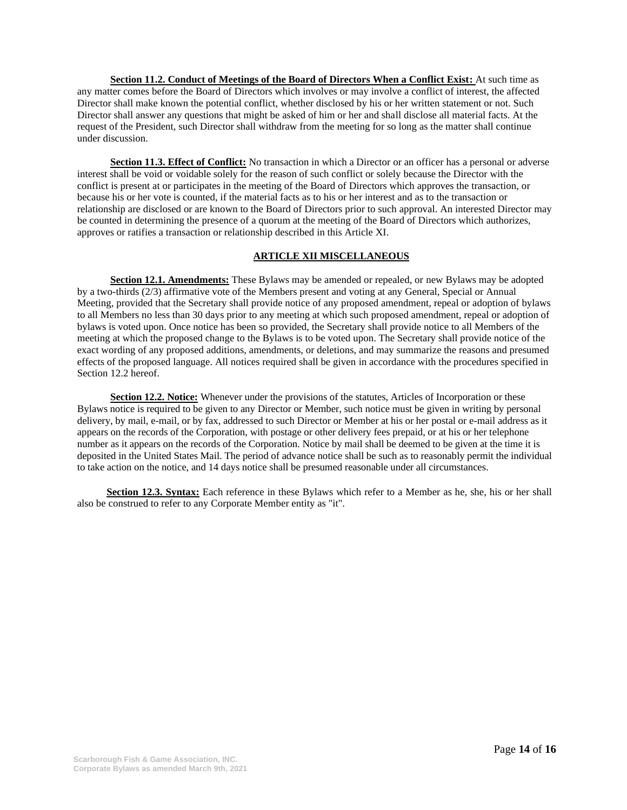**Section 11.2. Conduct of Meetings of the Board of Directors When a Conflict Exist:** At such time as any matter comes before the Board of Directors which involves or may involve a conflict of interest, the affected Director shall make known the potential conflict, whether disclosed by his or her written statement or not. Such Director shall answer any questions that might be asked of him or her and shall disclose all material facts. At the request of the President, such Director shall withdraw from the meeting for so long as the matter shall continue under discussion.

**Section 11.3. Effect of Conflict:** No transaction in which a Director or an officer has a personal or adverse interest shall be void or voidable solely for the reason of such conflict or solely because the Director with the conflict is present at or participates in the meeting of the Board of Directors which approves the transaction, or because his or her vote is counted, if the material facts as to his or her interest and as to the transaction or relationship are disclosed or are known to the Board of Directors prior to such approval. An interested Director may be counted in determining the presence of a quorum at the meeting of the Board of Directors which authorizes, approves or ratifies a transaction or relationship described in this Article XI.

## **ARTICLE XII MISCELLANEOUS**

**Section 12.1. Amendments:** These Bylaws may be amended or repealed, or new Bylaws may be adopted by a two-thirds (2/3) affirmative vote of the Members present and voting at any General, Special or Annual Meeting, provided that the Secretary shall provide notice of any proposed amendment, repeal or adoption of bylaws to all Members no less than 30 days prior to any meeting at which such proposed amendment, repeal or adoption of bylaws is voted upon. Once notice has been so provided, the Secretary shall provide notice to all Members of the meeting at which the proposed change to the Bylaws is to be voted upon. The Secretary shall provide notice of the exact wording of any proposed additions, amendments, or deletions, and may summarize the reasons and presumed effects of the proposed language. All notices required shall be given in accordance with the procedures specified in Section 12.2 hereof.

**Section 12.2. Notice:** Whenever under the provisions of the statutes, Articles of Incorporation or these Bylaws notice is required to be given to any Director or Member, such notice must be given in writing by personal delivery, by mail, e-mail, or by fax, addressed to such Director or Member at his or her postal or e-mail address as it appears on the records of the Corporation, with postage or other delivery fees prepaid, or at his or her telephone number as it appears on the records of the Corporation. Notice by mail shall be deemed to be given at the time it is deposited in the United States Mail. The period of advance notice shall be such as to reasonably permit the individual to take action on the notice, and 14 days notice shall be presumed reasonable under all circumstances.

**Section 12.3. Syntax:** Each reference in these Bylaws which refer to a Member as he, she, his or her shall also be construed to refer to any Corporate Member entity as "it".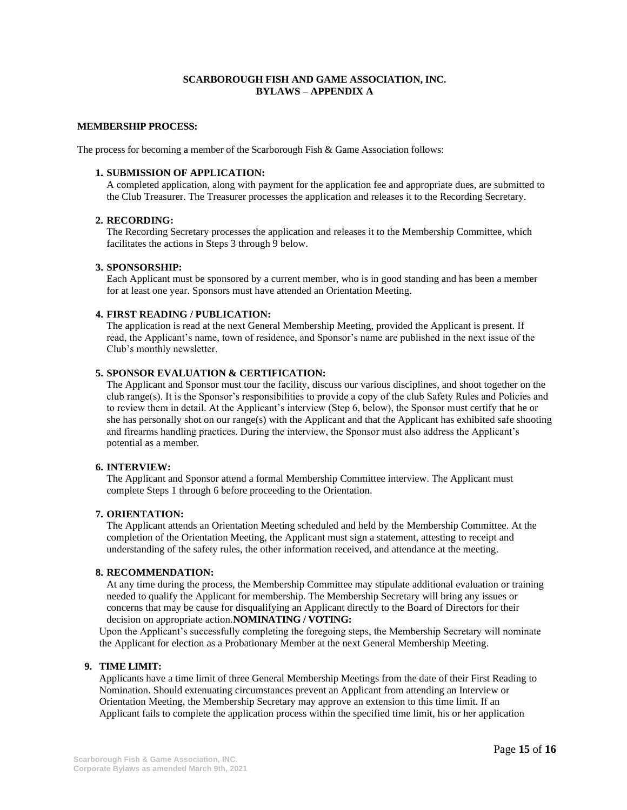### **SCARBOROUGH FISH AND GAME ASSOCIATION, INC. BYLAWS – APPENDIX A**

#### **MEMBERSHIP PROCESS:**

The process for becoming a member of the Scarborough Fish & Game Association follows:

#### **1. SUBMISSION OF APPLICATION:**

A completed application, along with payment for the application fee and appropriate dues, are submitted to the Club Treasurer. The Treasurer processes the application and releases it to the Recording Secretary.

#### **2. RECORDING:**

The Recording Secretary processes the application and releases it to the Membership Committee, which facilitates the actions in Steps 3 through 9 below.

#### **3. SPONSORSHIP:**

Each Applicant must be sponsored by a current member, who is in good standing and has been a member for at least one year. Sponsors must have attended an Orientation Meeting.

#### **4. FIRST READING / PUBLICATION:**

The application is read at the next General Membership Meeting, provided the Applicant is present. If read, the Applicant's name, town of residence, and Sponsor's name are published in the next issue of the Club's monthly newsletter.

#### **5. SPONSOR EVALUATION & CERTIFICATION:**

The Applicant and Sponsor must tour the facility, discuss our various disciplines, and shoot together on the club range(s). It is the Sponsor's responsibilities to provide a copy of the club Safety Rules and Policies and to review them in detail. At the Applicant's interview (Step 6, below), the Sponsor must certify that he or she has personally shot on our range(s) with the Applicant and that the Applicant has exhibited safe shooting and firearms handling practices. During the interview, the Sponsor must also address the Applicant's potential as a member.

#### **6. INTERVIEW:**

The Applicant and Sponsor attend a formal Membership Committee interview. The Applicant must complete Steps 1 through 6 before proceeding to the Orientation.

### **7. ORIENTATION:**

The Applicant attends an Orientation Meeting scheduled and held by the Membership Committee. At the completion of the Orientation Meeting, the Applicant must sign a statement, attesting to receipt and understanding of the safety rules, the other information received, and attendance at the meeting.

#### **8. RECOMMENDATION:**

At any time during the process, the Membership Committee may stipulate additional evaluation or training needed to qualify the Applicant for membership. The Membership Secretary will bring any issues or concerns that may be cause for disqualifying an Applicant directly to the Board of Directors for their decision on appropriate action.**NOMINATING / VOTING:**

Upon the Applicant's successfully completing the foregoing steps, the Membership Secretary will nominate the Applicant for election as a Probationary Member at the next General Membership Meeting.

#### **9. TIME LIMIT:**

Applicants have a time limit of three General Membership Meetings from the date of their First Reading to Nomination. Should extenuating circumstances prevent an Applicant from attending an Interview or Orientation Meeting, the Membership Secretary may approve an extension to this time limit. If an Applicant fails to complete the application process within the specified time limit, his or her application